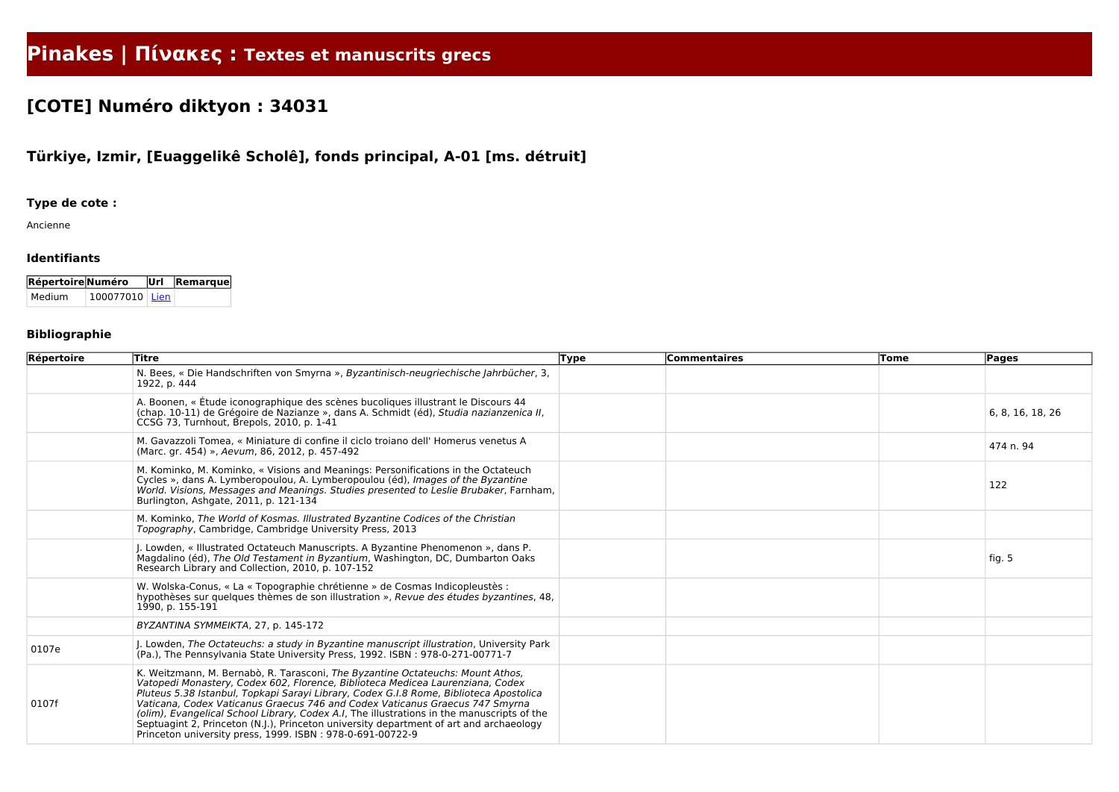# **Pinakes | Πίνακες : Textes et manuscrits grecs**

## **[COTE] Numéro diktyon : 34031**

### **Türkiye, Izmir, [Euaggelikê Scholê], fonds principal, A-01 [ms. détruit]**

#### **Type de cote :**

Ancienne

#### **Identifiants**

| Répertoire Numéro |        |                | $ \overline{U}r $ Remarque |
|-------------------|--------|----------------|----------------------------|
|                   | Medium | 100077010 Lien |                            |

#### **Bibliographie**

| Répertoire | Titre                                                                                                                                                                                                                                                                                                                                                                                                                                                                                                                                                                                           | <b>Type</b> | Commentaires | <b>Tome</b> | Pages            |
|------------|-------------------------------------------------------------------------------------------------------------------------------------------------------------------------------------------------------------------------------------------------------------------------------------------------------------------------------------------------------------------------------------------------------------------------------------------------------------------------------------------------------------------------------------------------------------------------------------------------|-------------|--------------|-------------|------------------|
|            | N. Bees, « Die Handschriften von Smyrna », Byzantinisch-neugriechische Jahrbücher, 3,<br>1922, p. 444                                                                                                                                                                                                                                                                                                                                                                                                                                                                                           |             |              |             |                  |
|            | A. Boonen, « Étude iconographique des scènes bucoliques illustrant le Discours 44<br>(chap. 10-11) de Grégoire de Nazianze », dans A. Schmidt (éd), Studia nazianzenica II,<br>CCSG 73, Turnhout, Brepols, 2010, p. 1-41                                                                                                                                                                                                                                                                                                                                                                        |             |              |             | 6, 8, 16, 18, 26 |
|            | M. Gavazzoli Tomea, « Miniature di confine il ciclo troiano dell' Homerus venetus A<br>(Marc. gr. 454) », Aevum, 86, 2012, p. 457-492                                                                                                                                                                                                                                                                                                                                                                                                                                                           |             |              |             | 474 n. 94        |
|            | M. Kominko, M. Kominko, « Visions and Meanings: Personifications in the Octateuch<br>Cycles », dans A. Lymberopoulou, A. Lymberopoulou (éd), Images of the Byzantine<br>World. Visions, Messages and Meanings. Studies presented to Leslie Brubaker, Farnham,<br>Burlington, Ashgate, 2011, p. 121-134                                                                                                                                                                                                                                                                                          |             |              |             | 122              |
|            | M. Kominko, The World of Kosmas. Illustrated Byzantine Codices of the Christian<br>Topography, Cambridge, Cambridge University Press, 2013                                                                                                                                                                                                                                                                                                                                                                                                                                                      |             |              |             |                  |
|            | J. Lowden, « Illustrated Octateuch Manuscripts. A Byzantine Phenomenon », dans P.<br>Magdalino (éd), The Old Testament in Byzantium, Washington, DC, Dumbarton Oaks<br>Research Library and Collection, 2010, p. 107-152                                                                                                                                                                                                                                                                                                                                                                        |             |              |             | fig. 5           |
|            | W. Wolska-Conus, « La « Topographie chrétienne » de Cosmas Indicopleustès :<br>hypothèses sur quelques thèmes de son illustration », Revue des études byzantines, 48,<br>1990, p. 155-191                                                                                                                                                                                                                                                                                                                                                                                                       |             |              |             |                  |
|            | BYZANTINA SYMMEIKTA, 27, p. 145-172                                                                                                                                                                                                                                                                                                                                                                                                                                                                                                                                                             |             |              |             |                  |
| 0107e      | J. Lowden, The Octateuchs: a study in Byzantine manuscript illustration, University Park<br>(Pa.), The Pennsylvania State University Press, 1992. ISBN: 978-0-271-00771-7                                                                                                                                                                                                                                                                                                                                                                                                                       |             |              |             |                  |
| 0107f      | K. Weitzmann, M. Bernabò, R. Tarasconi, The Byzantine Octateuchs: Mount Athos,<br>Vatopedi Monastery, Codex 602, Florence, Biblioteca Medicea Laurenziana, Codex<br>Pluteus 5.38 Istanbul, Topkapi Sarayi Library, Codex G.I.8 Rome, Biblioteca Apostolica<br>Vaticana, Codex Vaticanus Graecus 746 and Codex Vaticanus Graecus 747 Smyrna<br>(olim), Evangelical School Library, Codex A.I, The illustrations in the manuscripts of the<br>Septuagint 2, Princeton (N.J.), Princeton university department of art and archaeology<br>Princeton university press, 1999. ISBN: 978-0-691-00722-9 |             |              |             |                  |